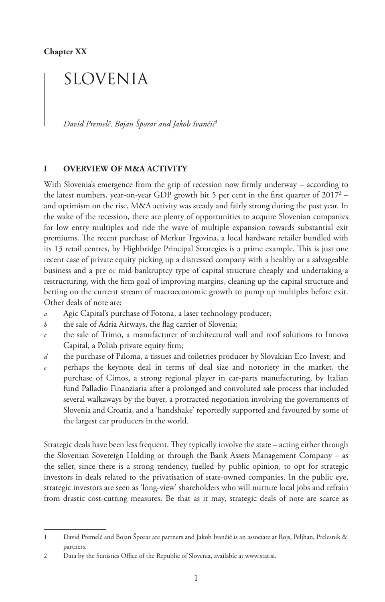# SLOVENIA

*David Premelč, Bojan Šporar and Jakob Ivančič*<sup>1</sup>

## **I OVERVIEW OF M&A ACTIVITY**

With Slovenia's emergence from the grip of recession now firmly underway – according to the latest numbers, year-on-year GDP growth hit 5 per cent in the first quarter of 2017 $^2$  – and optimism on the rise, M&A activity was steady and fairly strong during the past year. In the wake of the recession, there are plenty of opportunities to acquire Slovenian companies for low entry multiples and ride the wave of multiple expansion towards substantial exit premiums. The recent purchase of Merkur Trgovina, a local hardware retailer bundled with its 13 retail centres, by Highbridge Principal Strategies is a prime example. This is just one recent case of private equity picking up a distressed company with a healthy or a salvageable business and a pre or mid-bankruptcy type of capital structure cheaply and undertaking a restructuring, with the firm goal of improving margins, cleaning up the capital structure and betting on the current stream of macroeconomic growth to pump up multiples before exit. Other deals of note are:

- *a* Agic Capital's purchase of Fotona, a laser technology producer;
- *b* the sale of Adria Airways, the flag carrier of Slovenia;
- *c* the sale of Trimo, a manufacturer of architectural wall and roof solutions to Innova Capital, a Polish private equity firm;
- *d* the purchase of Paloma, a tissues and toiletries producer by Slovakian Eco Invest; and
- *e* perhaps the keynote deal in terms of deal size and notoriety in the market, the purchase of Cimos, a strong regional player in car-parts manufacturing, by Italian fund Palladio Finanziaria after a prolonged and convoluted sale process that included several walkaways by the buyer, a protracted negotiation involving the governments of Slovenia and Croatia, and a 'handshake' reportedly supported and favoured by some of the largest car producers in the world.

Strategic deals have been less frequent. They typically involve the state – acting either through the Slovenian Sovereign Holding or through the Bank Assets Management Company – as the seller, since there is a strong tendency, fuelled by public opinion, to opt for strategic investors in deals related to the privatisation of state-owned companies. In the public eye, strategic investors are seen as 'long-view' shareholders who will nurture local jobs and refrain from drastic cost-cutting measures. Be that as it may, strategic deals of note are scarce as

<sup>1</sup> David Premelč and Bojan Šporar are partners and Jakob Ivančič is an associate at Rojs, Peljhan, Prelesnik & partners.

<sup>2</sup> Data by the Statistics Office of the Republic of Slovenia, available at www.stat.si.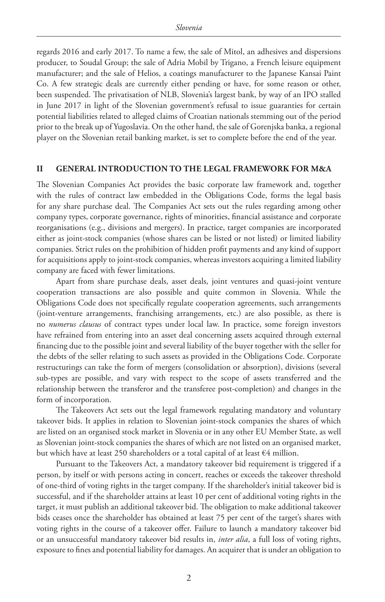regards 2016 and early 2017. To name a few, the sale of Mitol, an adhesives and dispersions producer, to Soudal Group; the sale of Adria Mobil by Trigano, a French leisure equipment manufacturer; and the sale of Helios, a coatings manufacturer to the Japanese Kansai Paint Co. A few strategic deals are currently either pending or have, for some reason or other, been suspended. The privatisation of NLB, Slovenia's largest bank, by way of an IPO stalled in June 2017 in light of the Slovenian government's refusal to issue guaranties for certain potential liabilities related to alleged claims of Croatian nationals stemming out of the period prior to the break up of Yugoslavia. On the other hand, the sale of Gorenjska banka, a regional player on the Slovenian retail banking market, is set to complete before the end of the year.

#### **II GENERAL INTRODUCTION TO THE LEGAL FRAMEWORK FOR M&A**

The Slovenian Companies Act provides the basic corporate law framework and, together with the rules of contract law embedded in the Obligations Code, forms the legal basis for any share purchase deal. The Companies Act sets out the rules regarding among other company types, corporate governance, rights of minorities, financial assistance and corporate reorganisations (e.g., divisions and mergers). In practice, target companies are incorporated either as joint-stock companies (whose shares can be listed or not listed) or limited liability companies. Strict rules on the prohibition of hidden profit payments and any kind of support for acquisitions apply to joint-stock companies, whereas investors acquiring a limited liability company are faced with fewer limitations.

Apart from share purchase deals, asset deals, joint ventures and quasi-joint venture cooperation transactions are also possible and quite common in Slovenia. While the Obligations Code does not specifically regulate cooperation agreements, such arrangements (joint-venture arrangements, franchising arrangements, etc.) are also possible, as there is no *numerus clausus* of contract types under local law. In practice, some foreign investors have refrained from entering into an asset deal concerning assets acquired through external financing due to the possible joint and several liability of the buyer together with the seller for the debts of the seller relating to such assets as provided in the Obligations Code. Corporate restructurings can take the form of mergers (consolidation or absorption), divisions (several sub-types are possible, and vary with respect to the scope of assets transferred and the relationship between the transferor and the transferee post-completion) and changes in the form of incorporation.

The Takeovers Act sets out the legal framework regulating mandatory and voluntary takeover bids. It applies in relation to Slovenian joint-stock companies the shares of which are listed on an organised stock market in Slovenia or in any other EU Member State, as well as Slovenian joint-stock companies the shares of which are not listed on an organised market, but which have at least 250 shareholders or a total capital of at least  $\epsilon$ 4 million.

Pursuant to the Takeovers Act, a mandatory takeover bid requirement is triggered if a person, by itself or with persons acting in concert, reaches or exceeds the takeover threshold of one-third of voting rights in the target company. If the shareholder's initial takeover bid is successful, and if the shareholder attains at least 10 per cent of additional voting rights in the target, it must publish an additional takeover bid. The obligation to make additional takeover bids ceases once the shareholder has obtained at least 75 per cent of the target's shares with voting rights in the course of a takeover offer. Failure to launch a mandatory takeover bid or an unsuccessful mandatory takeover bid results in, *inter alia*, a full loss of voting rights, exposure to fines and potential liability for damages. An acquirer that is under an obligation to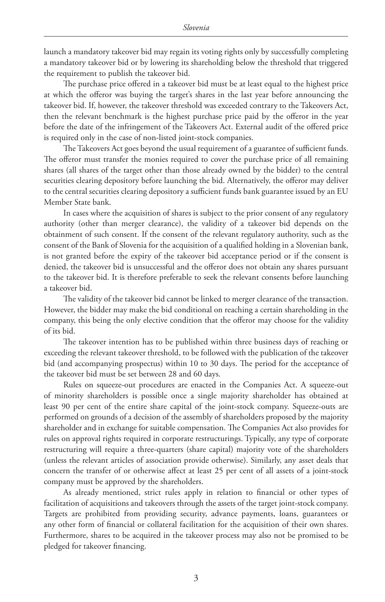launch a mandatory takeover bid may regain its voting rights only by successfully completing a mandatory takeover bid or by lowering its shareholding below the threshold that triggered the requirement to publish the takeover bid.

The purchase price offered in a takeover bid must be at least equal to the highest price at which the offeror was buying the target's shares in the last year before announcing the takeover bid. If, however, the takeover threshold was exceeded contrary to the Takeovers Act, then the relevant benchmark is the highest purchase price paid by the offeror in the year before the date of the infringement of the Takeovers Act. External audit of the offered price is required only in the case of non-listed joint-stock companies.

The Takeovers Act goes beyond the usual requirement of a guarantee of sufficient funds. The offeror must transfer the monies required to cover the purchase price of all remaining shares (all shares of the target other than those already owned by the bidder) to the central securities clearing depository before launching the bid. Alternatively, the offeror may deliver to the central securities clearing depository a sufficient funds bank guarantee issued by an EU Member State bank.

In cases where the acquisition of shares is subject to the prior consent of any regulatory authority (other than merger clearance), the validity of a takeover bid depends on the obtainment of such consent. If the consent of the relevant regulatory authority, such as the consent of the Bank of Slovenia for the acquisition of a qualified holding in a Slovenian bank, is not granted before the expiry of the takeover bid acceptance period or if the consent is denied, the takeover bid is unsuccessful and the offeror does not obtain any shares pursuant to the takeover bid. It is therefore preferable to seek the relevant consents before launching a takeover bid.

The validity of the takeover bid cannot be linked to merger clearance of the transaction. However, the bidder may make the bid conditional on reaching a certain shareholding in the company, this being the only elective condition that the offeror may choose for the validity of its bid.

The takeover intention has to be published within three business days of reaching or exceeding the relevant takeover threshold, to be followed with the publication of the takeover bid (and accompanying prospectus) within 10 to 30 days. The period for the acceptance of the takeover bid must be set between 28 and 60 days.

Rules on squeeze-out procedures are enacted in the Companies Act. A squeeze-out of minority shareholders is possible once a single majority shareholder has obtained at least 90 per cent of the entire share capital of the joint-stock company. Squeeze-outs are performed on grounds of a decision of the assembly of shareholders proposed by the majority shareholder and in exchange for suitable compensation. The Companies Act also provides for rules on approval rights required in corporate restructurings. Typically, any type of corporate restructuring will require a three-quarters (share capital) majority vote of the shareholders (unless the relevant articles of association provide otherwise). Similarly, any asset deals that concern the transfer of or otherwise affect at least 25 per cent of all assets of a joint-stock company must be approved by the shareholders.

As already mentioned, strict rules apply in relation to financial or other types of facilitation of acquisitions and takeovers through the assets of the target joint-stock company. Targets are prohibited from providing security, advance payments, loans, guarantees or any other form of financial or collateral facilitation for the acquisition of their own shares. Furthermore, shares to be acquired in the takeover process may also not be promised to be pledged for takeover financing.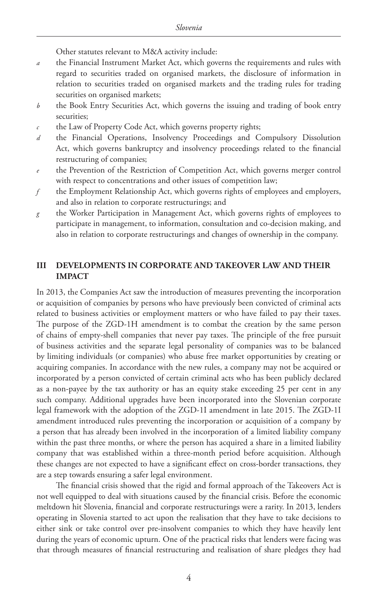Other statutes relevant to M&A activity include:

- *a* the Financial Instrument Market Act, which governs the requirements and rules with regard to securities traded on organised markets, the disclosure of information in relation to securities traded on organised markets and the trading rules for trading securities on organised markets;
- *b* the Book Entry Securities Act, which governs the issuing and trading of book entry securities;
- *c* the Law of Property Code Act, which governs property rights;
- *d* the Financial Operations, Insolvency Proceedings and Compulsory Dissolution Act, which governs bankruptcy and insolvency proceedings related to the financial restructuring of companies;
- *e* the Prevention of the Restriction of Competition Act, which governs merger control with respect to concentrations and other issues of competition law;
- *f* the Employment Relationship Act, which governs rights of employees and employers, and also in relation to corporate restructurings; and
- *g* the Worker Participation in Management Act, which governs rights of employees to participate in management, to information, consultation and co-decision making, and also in relation to corporate restructurings and changes of ownership in the company.

## **III DEVELOPMENTS IN CORPORATE AND TAKEOVER LAW AND THEIR IMPACT**

In 2013, the Companies Act saw the introduction of measures preventing the incorporation or acquisition of companies by persons who have previously been convicted of criminal acts related to business activities or employment matters or who have failed to pay their taxes. The purpose of the ZGD-1H amendment is to combat the creation by the same person of chains of empty-shell companies that never pay taxes. The principle of the free pursuit of business activities and the separate legal personality of companies was to be balanced by limiting individuals (or companies) who abuse free market opportunities by creating or acquiring companies. In accordance with the new rules, a company may not be acquired or incorporated by a person convicted of certain criminal acts who has been publicly declared as a non-payee by the tax authority or has an equity stake exceeding 25 per cent in any such company. Additional upgrades have been incorporated into the Slovenian corporate legal framework with the adoption of the ZGD-1I amendment in late 2015. The ZGD-1I amendment introduced rules preventing the incorporation or acquisition of a company by a person that has already been involved in the incorporation of a limited liability company within the past three months, or where the person has acquired a share in a limited liability company that was established within a three-month period before acquisition. Although these changes are not expected to have a significant effect on cross-border transactions, they are a step towards ensuring a safer legal environment.

The financial crisis showed that the rigid and formal approach of the Takeovers Act is not well equipped to deal with situations caused by the financial crisis. Before the economic meltdown hit Slovenia, financial and corporate restructurings were a rarity. In 2013, lenders operating in Slovenia started to act upon the realisation that they have to take decisions to either sink or take control over pre-insolvent companies to which they have heavily lent during the years of economic upturn. One of the practical risks that lenders were facing was that through measures of financial restructuring and realisation of share pledges they had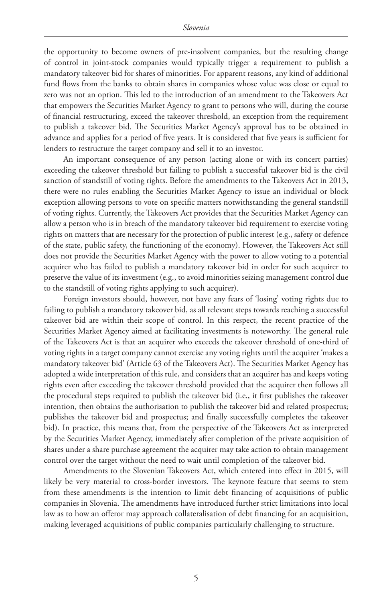the opportunity to become owners of pre-insolvent companies, but the resulting change of control in joint-stock companies would typically trigger a requirement to publish a mandatory takeover bid for shares of minorities. For apparent reasons, any kind of additional fund flows from the banks to obtain shares in companies whose value was close or equal to zero was not an option. This led to the introduction of an amendment to the Takeovers Act that empowers the Securities Market Agency to grant to persons who will, during the course of financial restructuring, exceed the takeover threshold, an exception from the requirement to publish a takeover bid. The Securities Market Agency's approval has to be obtained in advance and applies for a period of five years. It is considered that five years is sufficient for lenders to restructure the target company and sell it to an investor.

An important consequence of any person (acting alone or with its concert parties) exceeding the takeover threshold but failing to publish a successful takeover bid is the civil sanction of standstill of voting rights. Before the amendments to the Takeovers Act in 2013, there were no rules enabling the Securities Market Agency to issue an individual or block exception allowing persons to vote on specific matters notwithstanding the general standstill of voting rights. Currently, the Takeovers Act provides that the Securities Market Agency can allow a person who is in breach of the mandatory takeover bid requirement to exercise voting rights on matters that are necessary for the protection of public interest (e.g., safety or defence of the state, public safety, the functioning of the economy). However, the Takeovers Act still does not provide the Securities Market Agency with the power to allow voting to a potential acquirer who has failed to publish a mandatory takeover bid in order for such acquirer to preserve the value of its investment (e.g., to avoid minorities seizing management control due to the standstill of voting rights applying to such acquirer).

Foreign investors should, however, not have any fears of 'losing' voting rights due to failing to publish a mandatory takeover bid, as all relevant steps towards reaching a successful takeover bid are within their scope of control. In this respect, the recent practice of the Securities Market Agency aimed at facilitating investments is noteworthy. The general rule of the Takeovers Act is that an acquirer who exceeds the takeover threshold of one-third of voting rights in a target company cannot exercise any voting rights until the acquirer 'makes a mandatory takeover bid' (Article 63 of the Takeovers Act). The Securities Market Agency has adopted a wide interpretation of this rule, and considers that an acquirer has and keeps voting rights even after exceeding the takeover threshold provided that the acquirer then follows all the procedural steps required to publish the takeover bid (i.e., it first publishes the takeover intention, then obtains the authorisation to publish the takeover bid and related prospectus; publishes the takeover bid and prospectus; and finally successfully completes the takeover bid). In practice, this means that, from the perspective of the Takeovers Act as interpreted by the Securities Market Agency, immediately after completion of the private acquisition of shares under a share purchase agreement the acquirer may take action to obtain management control over the target without the need to wait until completion of the takeover bid.

Amendments to the Slovenian Takeovers Act, which entered into effect in 2015, will likely be very material to cross-border investors. The keynote feature that seems to stem from these amendments is the intention to limit debt financing of acquisitions of public companies in Slovenia. The amendments have introduced further strict limitations into local law as to how an offeror may approach collateralisation of debt financing for an acquisition, making leveraged acquisitions of public companies particularly challenging to structure.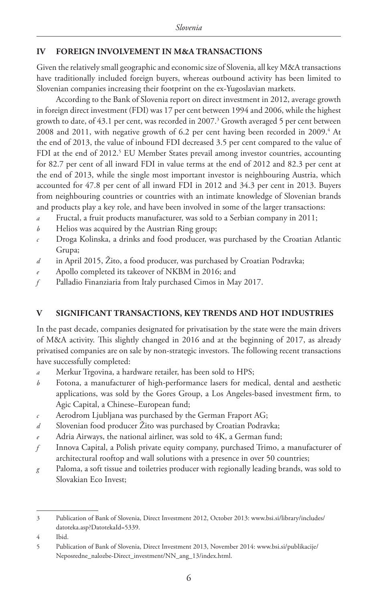# **IV FOREIGN INVOLVEMENT IN M&A TRANSACTIONS**

Given the relatively small geographic and economic size of Slovenia, all key M&A transactions have traditionally included foreign buyers, whereas outbound activity has been limited to Slovenian companies increasing their footprint on the ex-Yugoslavian markets.

According to the Bank of Slovenia report on direct investment in 2012, average growth in foreign direct investment (FDI) was 17 per cent between 1994 and 2006, while the highest growth to date, of 43.1 per cent, was recorded in 2007.3 Growth averaged 5 per cent between  $2008$  and  $2011$ , with negative growth of 6.2 per cent having been recorded in  $2009.^4$  At the end of 2013, the value of inbound FDI decreased 3.5 per cent compared to the value of FDI at the end of 2012.<sup>5</sup> EU Member States prevail among investor countries, accounting for 82.7 per cent of all inward FDI in value terms at the end of 2012 and 82.3 per cent at the end of 2013, while the single most important investor is neighbouring Austria, which accounted for 47.8 per cent of all inward FDI in 2012 and 34.3 per cent in 2013. Buyers from neighbouring countries or countries with an intimate knowledge of Slovenian brands and products play a key role, and have been involved in some of the larger transactions:

- *a* Fructal, a fruit products manufacturer, was sold to a Serbian company in 2011;
- *b* Helios was acquired by the Austrian Ring group;
- *c* Droga Kolinska, a drinks and food producer, was purchased by the Croatian Atlantic Grupa;
- *d* in April 2015, Žito, a food producer, was purchased by Croatian Podravka;
- *e* Apollo completed its takeover of NKBM in 2016; and
- *f* Palladio Finanziaria from Italy purchased Cimos in May 2017.

# **V SIGNIFICANT TRANSACTIONS, KEY TRENDS AND HOT INDUSTRIES**

In the past decade, companies designated for privatisation by the state were the main drivers of M&A activity. This slightly changed in 2016 and at the beginning of 2017, as already privatised companies are on sale by non-strategic investors. The following recent transactions have successfully completed:

- *a* Merkur Trgovina, a hardware retailer, has been sold to HPS;
- *b* Fotona, a manufacturer of high-performance lasers for medical, dental and aesthetic applications, was sold by the Gores Group, a Los Angeles-based investment firm, to Agic Capital, a Chinese–European fund;
- *c* Aerodrom Ljubljana was purchased by the German Fraport AG;
- *d* Slovenian food producer Žito was purchased by Croatian Podravka;
- *e* Adria Airways, the national airliner, was sold to 4K, a German fund;
- *f* Innova Capital, a Polish private equity company, purchased Trimo, a manufacturer of architectural rooftop and wall solutions with a presence in over 50 countries;
- *g* Paloma, a soft tissue and toiletries producer with regionally leading brands, was sold to Slovakian Eco Invest;

<sup>3</sup> Publication of Bank of Slovenia, Direct Investment 2012, October 2013: www.bsi.si/library/includes/ datoteka.asp?DatotekaId=5339.

<sup>4</sup> Ibid.

<sup>5</sup> Publication of Bank of Slovenia, Direct Investment 2013, November 2014: www.bsi.si/publikacije/ Neposredne\_nalozbe-Direct\_investment/NN\_ang\_13/index.html.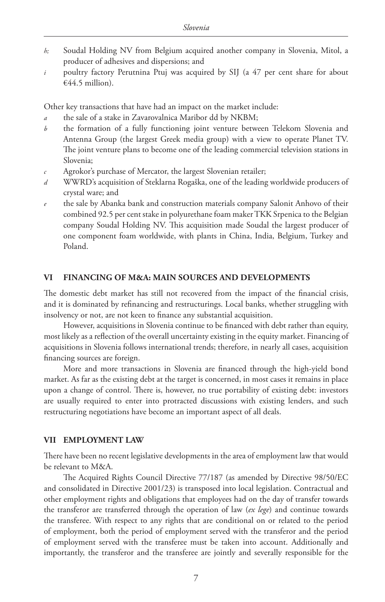- *h;* Soudal Holding NV from Belgium acquired another company in Slovenia, Mitol, a producer of adhesives and dispersions; and
- *i* poultry factory Perutnina Ptuj was acquired by SIJ (a 47 per cent share for about €44.5 million).

Other key transactions that have had an impact on the market include:

- *a* the sale of a stake in Zavarovalnica Maribor dd by NKBM;
- *b* the formation of a fully functioning joint venture between Telekom Slovenia and Antenna Group (the largest Greek media group) with a view to operate Planet TV. The joint venture plans to become one of the leading commercial television stations in Slovenia;
- *c* Agrokor's purchase of Mercator, the largest Slovenian retailer;
- *d* WWRD's acquisition of Steklarna Rogaška, one of the leading worldwide producers of crystal ware; and
- *e* the sale by Abanka bank and construction materials company Salonit Anhovo of their combined 92.5 per cent stake in polyurethane foam maker TKK Srpenica to the Belgian company Soudal Holding NV. This acquisition made Soudal the largest producer of one component foam worldwide, with plants in China, India, Belgium, Turkey and Poland.

## **VI FINANCING OF M&A: MAIN SOURCES AND DEVELOPMENTS**

The domestic debt market has still not recovered from the impact of the financial crisis, and it is dominated by refinancing and restructurings. Local banks, whether struggling with insolvency or not, are not keen to finance any substantial acquisition.

However, acquisitions in Slovenia continue to be financed with debt rather than equity, most likely as a reflection of the overall uncertainty existing in the equity market. Financing of acquisitions in Slovenia follows international trends; therefore, in nearly all cases, acquisition financing sources are foreign.

More and more transactions in Slovenia are financed through the high-yield bond market. As far as the existing debt at the target is concerned, in most cases it remains in place upon a change of control. There is, however, no true portability of existing debt: investors are usually required to enter into protracted discussions with existing lenders, and such restructuring negotiations have become an important aspect of all deals.

#### **VII EMPLOYMENT LAW**

There have been no recent legislative developments in the area of employment law that would be relevant to M&A.

The Acquired Rights Council Directive 77/187 (as amended by Directive 98/50/EC and consolidated in Directive 2001/23) is transposed into local legislation. Contractual and other employment rights and obligations that employees had on the day of transfer towards the transferor are transferred through the operation of law (*ex lege*) and continue towards the transferee. With respect to any rights that are conditional on or related to the period of employment, both the period of employment served with the transferor and the period of employment served with the transferee must be taken into account. Additionally and importantly, the transferor and the transferee are jointly and severally responsible for the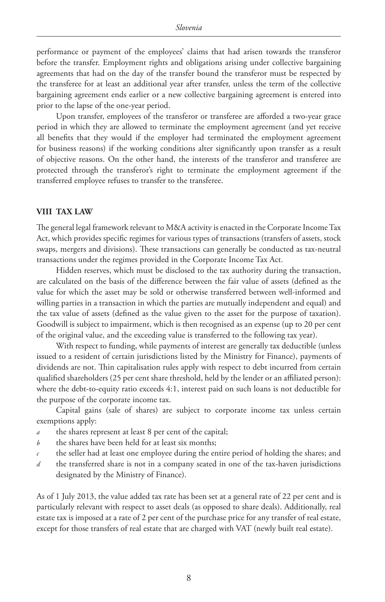performance or payment of the employees' claims that had arisen towards the transferor before the transfer. Employment rights and obligations arising under collective bargaining agreements that had on the day of the transfer bound the transferor must be respected by the transferee for at least an additional year after transfer, unless the term of the collective bargaining agreement ends earlier or a new collective bargaining agreement is entered into prior to the lapse of the one-year period.

Upon transfer, employees of the transferor or transferee are afforded a two-year grace period in which they are allowed to terminate the employment agreement (and yet receive all benefits that they would if the employer had terminated the employment agreement for business reasons) if the working conditions alter significantly upon transfer as a result of objective reasons. On the other hand, the interests of the transferor and transferee are protected through the transferor's right to terminate the employment agreement if the transferred employee refuses to transfer to the transferee.

## **VIII TAX LAW**

The general legal framework relevant to M&A activity is enacted in the Corporate Income Tax Act, which provides specific regimes for various types of transactions (transfers of assets, stock swaps, mergers and divisions). These transactions can generally be conducted as tax-neutral transactions under the regimes provided in the Corporate Income Tax Act.

Hidden reserves, which must be disclosed to the tax authority during the transaction, are calculated on the basis of the difference between the fair value of assets (defined as the value for which the asset may be sold or otherwise transferred between well-informed and willing parties in a transaction in which the parties are mutually independent and equal) and the tax value of assets (defined as the value given to the asset for the purpose of taxation). Goodwill is subject to impairment, which is then recognised as an expense (up to 20 per cent of the original value, and the exceeding value is transferred to the following tax year).

With respect to funding, while payments of interest are generally tax deductible (unless issued to a resident of certain jurisdictions listed by the Ministry for Finance), payments of dividends are not. Thin capitalisation rules apply with respect to debt incurred from certain qualified shareholders (25 per cent share threshold, held by the lender or an affiliated person): where the debt-to-equity ratio exceeds 4:1, interest paid on such loans is not deductible for the purpose of the corporate income tax.

Capital gains (sale of shares) are subject to corporate income tax unless certain exemptions apply:

- *a* the shares represent at least 8 per cent of the capital;
- *b* the shares have been held for at least six months;
- *c* the seller had at least one employee during the entire period of holding the shares; and
- *d* the transferred share is not in a company seated in one of the tax-haven jurisdictions designated by the Ministry of Finance).

As of 1 July 2013, the value added tax rate has been set at a general rate of 22 per cent and is particularly relevant with respect to asset deals (as opposed to share deals). Additionally, real estate tax is imposed at a rate of 2 per cent of the purchase price for any transfer of real estate, except for those transfers of real estate that are charged with VAT (newly built real estate).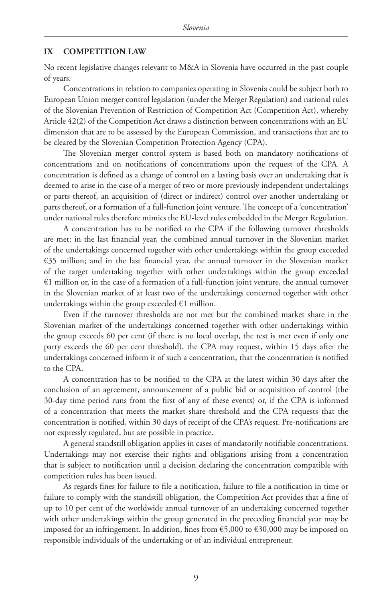#### **IX COMPETITION LAW**

No recent legislative changes relevant to M&A in Slovenia have occurred in the past couple of years.

Concentrations in relation to companies operating in Slovenia could be subject both to European Union merger control legislation (under the Merger Regulation) and national rules of the Slovenian Prevention of Restriction of Competition Act (Competition Act), whereby Article 42(2) of the Competition Act draws a distinction between concentrations with an EU dimension that are to be assessed by the European Commission, and transactions that are to be cleared by the Slovenian Competition Protection Agency (CPA).

The Slovenian merger control system is based both on mandatory notifications of concentrations and on notifications of concentrations upon the request of the CPA. A concentration is defined as a change of control on a lasting basis over an undertaking that is deemed to arise in the case of a merger of two or more previously independent undertakings or parts thereof, an acquisition of (direct or indirect) control over another undertaking or parts thereof, or a formation of a full-function joint venture. The concept of a 'concentration' under national rules therefore mimics the EU-level rules embedded in the Merger Regulation.

A concentration has to be notified to the CPA if the following turnover thresholds are met: in the last financial year, the combined annual turnover in the Slovenian market of the undertakings concerned together with other undertakings within the group exceeded €35 million; and in the last financial year, the annual turnover in the Slovenian market of the target undertaking together with other undertakings within the group exceeded €1 million or, in the case of a formation of a full-function joint venture, the annual turnover in the Slovenian market of at least two of the undertakings concerned together with other undertakings within the group exceeded  $\epsilon$ 1 million.

Even if the turnover thresholds are not met but the combined market share in the Slovenian market of the undertakings concerned together with other undertakings within the group exceeds 60 per cent (if there is no local overlap, the test is met even if only one party exceeds the 60 per cent threshold), the CPA may request, within 15 days after the undertakings concerned inform it of such a concentration, that the concentration is notified to the CPA.

A concentration has to be notified to the CPA at the latest within 30 days after the conclusion of an agreement, announcement of a public bid or acquisition of control (the 30-day time period runs from the first of any of these events) or, if the CPA is informed of a concentration that meets the market share threshold and the CPA requests that the concentration is notified, within 30 days of receipt of the CPA's request. Pre-notifications are not expressly regulated, but are possible in practice.

A general standstill obligation applies in cases of mandatorily notifiable concentrations. Undertakings may not exercise their rights and obligations arising from a concentration that is subject to notification until a decision declaring the concentration compatible with competition rules has been issued.

As regards fines for failure to file a notification, failure to file a notification in time or failure to comply with the standstill obligation, the Competition Act provides that a fine of up to 10 per cent of the worldwide annual turnover of an undertaking concerned together with other undertakings within the group generated in the preceding financial year may be imposed for an infringement. In addition, fines from  $\epsilon$ 5,000 to  $\epsilon$ 30,000 may be imposed on responsible individuals of the undertaking or of an individual entrepreneur.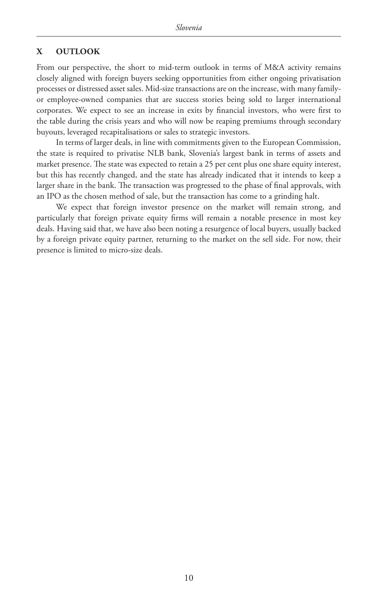## **X OUTLOOK**

From our perspective, the short to mid-term outlook in terms of M&A activity remains closely aligned with foreign buyers seeking opportunities from either ongoing privatisation processes or distressed asset sales. Mid-size transactions are on the increase, with many familyor employee-owned companies that are success stories being sold to larger international corporates. We expect to see an increase in exits by financial investors, who were first to the table during the crisis years and who will now be reaping premiums through secondary buyouts, leveraged recapitalisations or sales to strategic investors.

In terms of larger deals, in line with commitments given to the European Commission, the state is required to privatise NLB bank, Slovenia's largest bank in terms of assets and market presence. The state was expected to retain a 25 per cent plus one share equity interest, but this has recently changed, and the state has already indicated that it intends to keep a larger share in the bank. The transaction was progressed to the phase of final approvals, with an IPO as the chosen method of sale, but the transaction has come to a grinding halt.

We expect that foreign investor presence on the market will remain strong, and particularly that foreign private equity firms will remain a notable presence in most key deals. Having said that, we have also been noting a resurgence of local buyers, usually backed by a foreign private equity partner, returning to the market on the sell side. For now, their presence is limited to micro-size deals.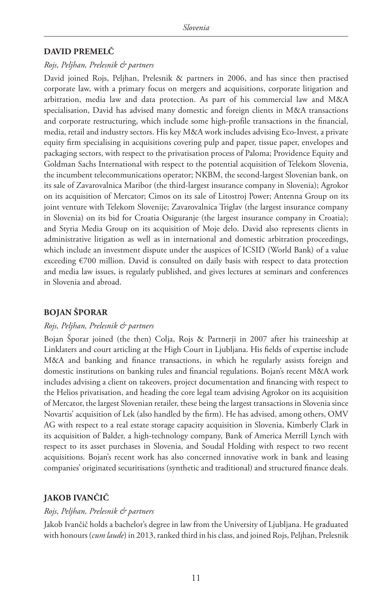## **DAVID PREMELČ**

#### *Rojs, Peljhan, Prelesnik & partners*

David joined Rojs, Peljhan, Prelesnik & partners in 2006, and has since then practised corporate law, with a primary focus on mergers and acquisitions, corporate litigation and arbitration, media law and data protection. As part of his commercial law and M&A specialisation, David has advised many domestic and foreign clients in M&A transactions and corporate restructuring, which include some high-profile transactions in the financial, media, retail and industry sectors. His key M&A work includes advising Eco-Invest, a private equity firm specialising in acquisitions covering pulp and paper, tissue paper, envelopes and packaging sectors, with respect to the privatisation process of Paloma; Providence Equity and Goldman Sachs International with respect to the potential acquisition of Telekom Slovenia, the incumbent telecommunications operator; NKBM, the second-largest Slovenian bank, on its sale of Zavarovalnica Maribor (the third-largest insurance company in Slovenia); Agrokor on its acquisition of Mercator; Cimos on its sale of Litostroj Power; Antenna Group on its joint venture with Telekom Slovenije; Zavarovalnica Triglav (the largest insurance company in Slovenia) on its bid for Croatia Osiguranje (the largest insurance company in Croatia); and Styria Media Group on its acquisition of Moje delo. David also represents clients in administrative litigation as well as in international and domestic arbitration proceedings, which include an investment dispute under the auspices of ICSID (World Bank) of a value exceeding  $\epsilon$ 700 million. David is consulted on daily basis with respect to data protection and media law issues, is regularly published, and gives lectures at seminars and conferences in Slovenia and abroad.

#### **BOJAN ŠPORAR**

#### *Rojs, Peljhan, Prelesnik & partners*

Bojan Šporar joined (the then) Colja, Rojs & Partnerji in 2007 after his traineeship at Linklaters and court articling at the High Court in Ljubljana. His fields of expertise include M&A and banking and finance transactions, in which he regularly assists foreign and domestic institutions on banking rules and financial regulations. Bojan's recent M&A work includes advising a client on takeovers, project documentation and financing with respect to the Helios privatisation, and heading the core legal team advising Agrokor on its acquisition of Mercator, the largest Slovenian retailer, these being the largest transactions in Slovenia since Novartis' acquisition of Lek (also handled by the firm). He has advised, among others, OMV AG with respect to a real estate storage capacity acquisition in Slovenia, Kimberly Clark in its acquisition of Balder, a high-technology company, Bank of America Merrill Lynch with respect to its asset purchases in Slovenia, and Soudal Holding with respect to two recent acquisitions. Bojan's recent work has also concerned innovative work in bank and leasing companies' originated securitisations (synthetic and traditional) and structured finance deals.

# **JAKOB IVANČIČ**

#### *Rojs, Peljhan, Prelesnik & partners*

Jakob Ivančič holds a bachelor's degree in law from the University of Ljubljana. He graduated with honours (*cum laude*) in 2013, ranked third in his class, and joined Rojs, Peljhan, Prelesnik